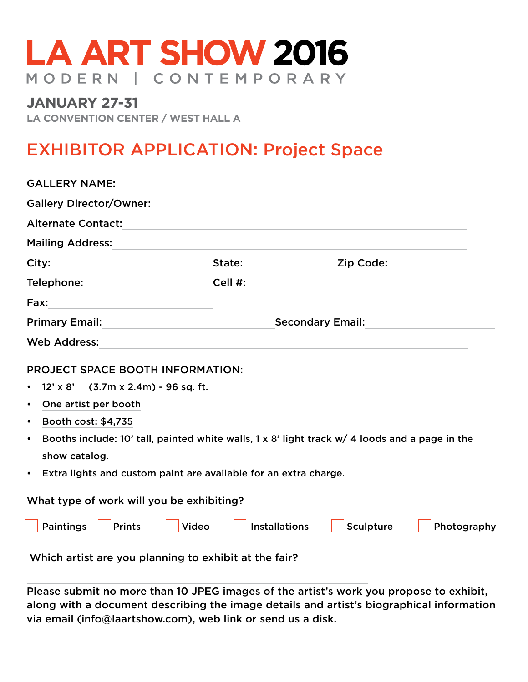## **LA ART SHOW 2016** MODERN | CONTEMPORARY

## **January 27-31**

**LA Convention Center / West hall a**

## EXHIBITOR APPLICATION: Project Space

Please submit no more than 10 JPEG images of the artist's work you propose to exhibit, along with a document describing the image details and artist's biographical information via email (info@laartshow.com), web link or send us a disk.